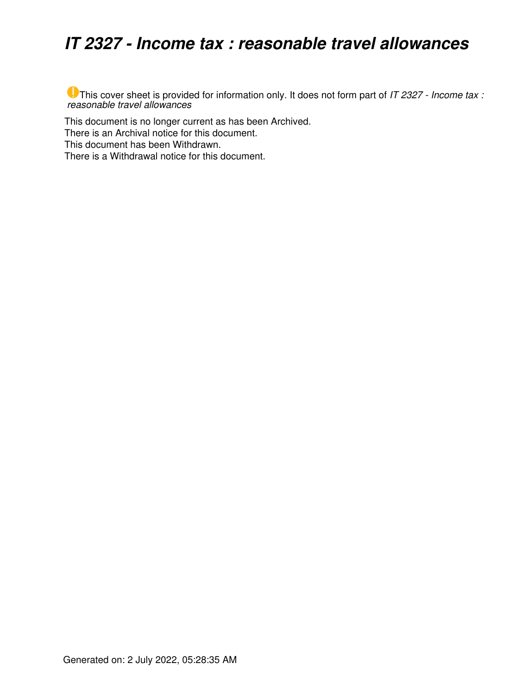## *IT 2327 - Income tax : reasonable travel allowances*

This cover sheet is provided for information only. It does not form part of *IT 2327 - Income tax : reasonable travel allowances*

This document is no longer current as has been Archived.

There is an Archival notice for this document.

This document has been Withdrawn.

There is a Withdrawal notice for this document.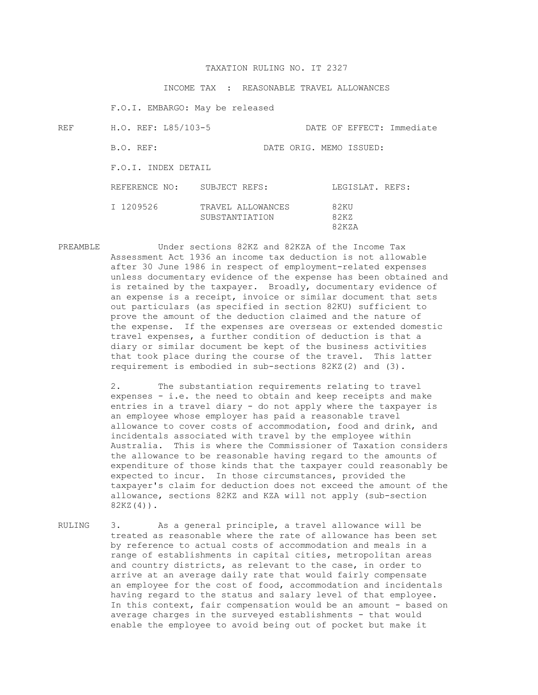## TAXATION RULING NO. IT 2327

INCOME TAX : REASONABLE TRAVEL ALLOWANCES

F.O.I. EMBARGO: May be released

| REF | H.O. REF: L85/103-5 |                                     | DATE OF EFFECT: Immediate |  |  |
|-----|---------------------|-------------------------------------|---------------------------|--|--|
|     | B.O. REF:           | DATE ORIG. MEMO ISSUED:             |                           |  |  |
|     | F.O.I. INDEX DETAIL |                                     |                           |  |  |
|     | REFERENCE NO:       | SUBJECT REFS:                       | LEGISLAT. REFS:           |  |  |
|     | I 1209526           | TRAVEL ALLOWANCES<br>SUBSTANTIATION | 82KU<br>82KZ<br>82KZA     |  |  |

PREAMBLE Under sections 82KZ and 82KZA of the Income Tax Assessment Act 1936 an income tax deduction is not allowable after 30 June 1986 in respect of employment-related expenses unless documentary evidence of the expense has been obtained and is retained by the taxpayer. Broadly, documentary evidence of an expense is a receipt, invoice or similar document that sets out particulars (as specified in section 82KU) sufficient to prove the amount of the deduction claimed and the nature of the expense. If the expenses are overseas or extended domestic travel expenses, a further condition of deduction is that a diary or similar document be kept of the business activities that took place during the course of the travel. This latter requirement is embodied in sub-sections 82KZ(2) and (3).

> 2. The substantiation requirements relating to travel expenses - i.e. the need to obtain and keep receipts and make entries in a travel diary - do not apply where the taxpayer is an employee whose employer has paid a reasonable travel allowance to cover costs of accommodation, food and drink, and incidentals associated with travel by the employee within Australia. This is where the Commissioner of Taxation considers the allowance to be reasonable having regard to the amounts of expenditure of those kinds that the taxpayer could reasonably be expected to incur. In those circumstances, provided the taxpayer's claim for deduction does not exceed the amount of the allowance, sections 82KZ and KZA will not apply (sub-section 82KZ(4)).

RULING 3. As a general principle, a travel allowance will be treated as reasonable where the rate of allowance has been set by reference to actual costs of accommodation and meals in a range of establishments in capital cities, metropolitan areas and country districts, as relevant to the case, in order to arrive at an average daily rate that would fairly compensate an employee for the cost of food, accommodation and incidentals having regard to the status and salary level of that employee. In this context, fair compensation would be an amount - based on average charges in the surveyed establishments - that would enable the employee to avoid being out of pocket but make it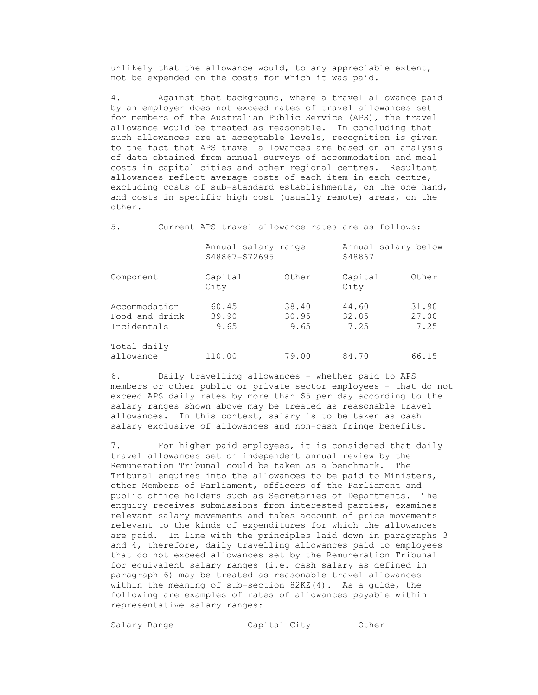unlikely that the allowance would, to any appreciable extent, not be expended on the costs for which it was paid.

 4. Against that background, where a travel allowance paid by an employer does not exceed rates of travel allowances set for members of the Australian Public Service (APS), the travel allowance would be treated as reasonable. In concluding that such allowances are at acceptable levels, recognition is given to the fact that APS travel allowances are based on an analysis of data obtained from annual surveys of accommodation and meal costs in capital cities and other regional centres. Resultant allowances reflect average costs of each item in each centre, excluding costs of sub-standard establishments, on the one hand, and costs in specific high cost (usually remote) areas, on the other.

5. Current APS travel allowance rates are as follows:

|                                                | Annual salary range<br>\$48867-\$72695 |                        | Annual salary below<br>\$48867 |                        |
|------------------------------------------------|----------------------------------------|------------------------|--------------------------------|------------------------|
| Component                                      | Capital<br>City                        | Other                  | Capital<br>City                | Other                  |
| Accommodation<br>Food and drink<br>Incidentals | 60.45<br>39.90<br>9.65                 | 38.40<br>30.95<br>9.65 | 44.60<br>32.85<br>7.25         | 31.90<br>27.00<br>7.25 |
| Total daily<br>allowance                       | 110.00                                 | 79.00                  | 84.70                          | 66.15                  |

 6. Daily travelling allowances - whether paid to APS members or other public or private sector employees - that do not exceed APS daily rates by more than \$5 per day according to the salary ranges shown above may be treated as reasonable travel allowances. In this context, salary is to be taken as cash salary exclusive of allowances and non-cash fringe benefits.

 7. For higher paid employees, it is considered that daily travel allowances set on independent annual review by the Remuneration Tribunal could be taken as a benchmark. The Tribunal enquires into the allowances to be paid to Ministers, other Members of Parliament, officers of the Parliament and public office holders such as Secretaries of Departments. The enquiry receives submissions from interested parties, examines relevant salary movements and takes account of price movements relevant to the kinds of expenditures for which the allowances are paid. In line with the principles laid down in paragraphs 3 and 4, therefore, daily travelling allowances paid to employees that do not exceed allowances set by the Remuneration Tribunal for equivalent salary ranges (i.e. cash salary as defined in paragraph 6) may be treated as reasonable travel allowances within the meaning of sub-section  $82KZ(4)$ . As a quide, the following are examples of rates of allowances payable within representative salary ranges:

Salary Range Capital City Other